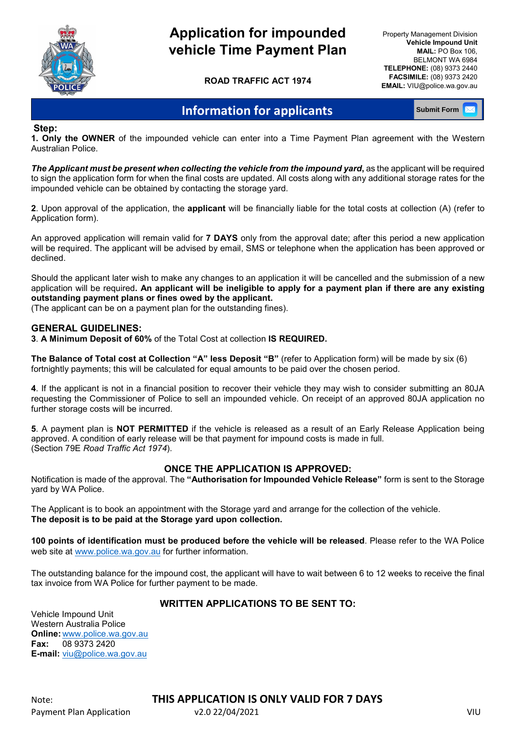

## **Application for impounded vehicle Time Payment Plan**

**ROAD TRAFFIC ACT 1974**

Property Management Division **Vehicle Impound Unit MAIL:** PO Box 106, BELMONT WA 6984  **TELEPHONE:** (08) 9373 2440  **FACSIMILE:** (08) 9373 2420  **EMAIL:** VIU@police.wa.gov.au

### **Information for applicants**

**Submit Form**

**Step:** 

**1. Only the OWNER** of the impounded vehicle can enter into a Time Payment Plan agreement with the Western Australian Police.

*The Applicant must be present when collecting the vehicle from the impound yard***,** as the applicant will be required to sign the application form for when the final costs are updated. All costs along with any additional storage rates for the impounded vehicle can be obtained by contacting the storage yard.

**2**. Upon approval of the application, the **applicant** will be financially liable for the total costs at collection (A) (refer to Application form).

An approved application will remain valid for **7 DAYS** only from the approval date; after this period a new application will be required. The applicant will be advised by email, SMS or telephone when the application has been approved or declined.

Should the applicant later wish to make any changes to an application it will be cancelled and the submission of a new application will be required**. An applicant will be ineligible to apply for a payment plan if there are any existing outstanding payment plans or fines owed by the applicant.**

(The applicant can be on a payment plan for the outstanding fines).

#### **GENERAL GUIDELINES:**

**3**. **A Minimum Deposit of 60%** of the Total Cost at collection **IS REQUIRED.**

**The Balance of Total cost at Collection "A" less Deposit "B"** (refer to Application form) will be made by six (6) fortnightly payments; this will be calculated for equal amounts to be paid over the chosen period.

**4**. If the applicant is not in a financial position to recover their vehicle they may wish to consider submitting an 80JA requesting the Commissioner of Police to sell an impounded vehicle. On receipt of an approved 80JA application no further storage costs will be incurred.

**5**. A payment plan is **NOT PERMITTED** if the vehicle is released as a result of an Early Release Application being approved. A condition of early release will be that payment for impound costs is made in full. (Section 79E *Road Traffic Act 1974*).

#### **ONCE THE APPLICATION IS APPROVED:**

Notification is made of the approval. The **"Authorisation for Impounded Vehicle Release"** form is sent to the Storage yard by WA Police.

The Applicant is to book an appointment with the Storage yard and arrange for the collection of the vehicle. **The deposit is to be paid at the Storage yard upon collection.** 

**100 points of identification must be produced before the vehicle will be released**. Please refer to the WA Police web site at [www.police.wa.gov.au](http://www.police.wa.gov.au/) for further information.

The outstanding balance for the impound cost, the applicant will have to wait between 6 to 12 weeks to receive the final tax invoice from WA Police for further payment to be made.

#### **WRITTEN APPLICATIONS TO BE SENT TO:**

Vehicle Impound Unit Western Australia Police **Online:** [www.police.wa.gov.au](http://www.police.wa.gov.au/) **Fax:** 08 9373 2420 **E-mail:** [viu@police.wa.gov.au](mailto:viu@police.wa.gov.au)